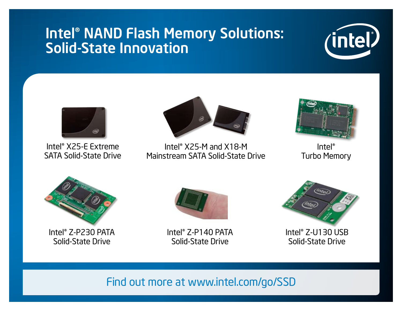## Intel® NAND Flash Memory Solutions: Solid-State Innovation





Intel® X25-E Extreme SATA Solid-State Drive



Intel® X25-M and X18-M Mainstream SATA Solid-State Drive



Intel® Turbo Memory



Intel® Z-P230 PATA Solid-State Drive



Intel® Z-P140 PATA Solid-State Drive



Intel® Z-U130 USB Solid-State Drive

## Find out more at www.intel.com/go/SSD